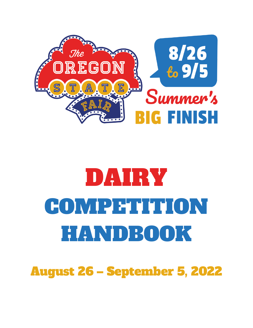

# DAIRY COMPETITION HANDBOOK

August 26 – September 5, 2022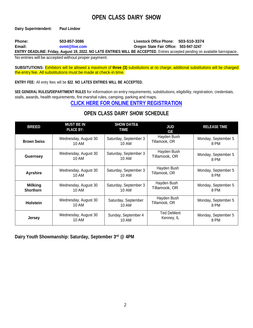# **OPEN CLASS DAIRY SHOW**

**Dairy Superintendent: Paul Lindow**

**Phone: 503-857-3086 Livestock Office Phone: 503-510-3374 Email: [ovmt@live.com](mailto:ovmt@live.com) Oregon State Fair Office: 503-947-3247**

**ENTRY DEADLINE: Friday, August 19, 2022. NO LATE ENTRIES WILL BE ACCEPTED**. Entries accepted pending on available barnspace.

No entries will be accepted without proper payment.

**SUBSITUTIONS:** Exhibitors will be allowed a maximum of **three (3)** substitutions at no charge; additional substitutions will be charged the entry fee. All substitutions must be made at check-in time.

**ENTRY FEE:** All entry fees will be **\$22**. **NO LATES ENTRIES WILL BE ACCEPTED.** 

**SEE GENERAL RULES/DEPARTMENT RULES** for information on entry requirements, substitutions, eligibility, registration, credentials, stalls, awards, health requirements, fire marshal rules, camping, parking and maps.

## **CLICK HERE FOR ONLINE ENTRY [REGISTRATION](http://oregona.fairwire.com/)**

# **OPEN CLASS DAIRY SHOW SCHEDULE**

| <b>BREED</b>       | <b>MUST BE IN</b><br><b>PLACE BY:</b> | <b>SHOW DATE&amp;</b><br><b>TIME</b> | <b>JUD</b><br>GE  | <b>RELEASE TIME</b> |
|--------------------|---------------------------------------|--------------------------------------|-------------------|---------------------|
| <b>Brown Swiss</b> | Wednesday, August 30                  | Saturday, September 3                | Hayden Bush       | Monday, September 5 |
|                    | 10 AM                                 | 10 AM                                | Tillamook, OR     | 8 PM                |
| <b>Guernsey</b>    | Wednesday, August 30                  | Saturday, September 3                | Hayden Bush       | Monday, September 5 |
|                    | 10 AM                                 | 10 AM                                | Tillamook, OR     | 8 PM                |
| <b>Ayrshire</b>    | Wednesday, August 30                  | Saturday, September 3                | Hayden Bush       | Monday, September 5 |
|                    | 10 AM                                 | 10 AM                                | Tillamook, OR     | 8 PM                |
| <b>Milking</b>     | Wednesday, August 30                  | Saturday, September 3                | Hayden Bush       | Monday, September 5 |
| <b>Shorthorn</b>   | 10 AM                                 | 10 AM                                | Tillamook, OR     | 8 PM                |
| <b>Holstein</b>    | Wednesday, August 30                  | Saturday, September                  | Hayden Bush       | Monday, September 5 |
|                    | 10 AM                                 | 10 AM                                | Tillamook, OR     | 8 PM                |
| <b>Jersey</b>      | Wednesday, August 30                  | Sunday, September 4                  | <b>Ted DeMent</b> | Monday, September 5 |
|                    | 10 AM                                 | 10 AM                                | Kenney, IL        | 8 PM                |

**Dairy Youth Showmanship: Saturday, September 3 rd @ 4PM**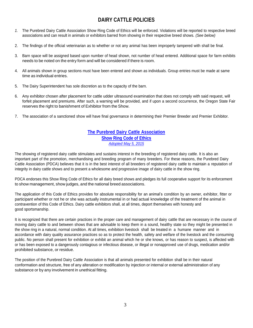# **DAIRY CATTLE POLICIES**

- *1.* The Purebred Dairy Cattle Association Show Ring Code of Ethics will be enforced. Violations will be reported to respective breed associations and can result in animals or exhibitors barred from showing in their respective breed shows. *(See below)*
- 2. The findings of the official veterinarian as to whether or not any animal has been improperly tampered with shall be final.
- 3. Barn space will be assigned based upon number of head shown, not number of head entered. Additional space for farm exhibits needs to be noted on the entry form and will be considered if there is room.
- 4. All animals shown in group sections must have been entered and shown as individuals. Group entries must be made at same time as individual entries.
- 5. The Dairy Superintendent has sole discretion as to the capacity of the barn.
- 6. Any exhibitor chosen after placement for cattle udder ultrasound examination that does not comply with said request, will forfeit placement and premiums. After such, a warning will be provided, and if upon a second occurrence, the Oregon State Fair reserves the right to banishment of Exhibitor from the Show.
- 7. The association of a sanctioned show will have final governance in determining their Premier Breeder and Premier Exhibitor.

## **The Purebred Dairy Cattle [Association](http://www.purebreddairycattle.com/file_open.php?id=7) Show Ring Code of [Ethics](http://www.purebreddairycattle.com/file_open.php?id=7)** *[Adopted](http://www.purebreddairycattle.com/file_open.php?id=7) May 5, 2015*

The showing of registered dairy cattle stimulates and sustains interest in the breeding of registered dairy cattle. It is also an important part of the promotion, merchandising and breeding program of many breeders. For these reasons, the Purebred Dairy Cattle Association (PDCA) believes that it is in the best interest of all breeders of registered dairy cattle to maintain a reputation of integrity in dairy cattle shows and to present a wholesome and progressive image of dairy cattle in the show ring.

PDCA endorses this Show Ring Code of Ethics for all dairy breed shows and pledges its full cooperative support for its enforcement to show management, show judges, and the national breed associations.

The application of this Code of Ethics provides for absolute responsibility for an animal's condition by an owner, exhibitor, fitter or participant whether or not he or she was actually instrumental in or had actual knowledge of the treatment of the animal in contravention of this Code of Ethics. Dairy cattle exhibitors shall, at all times, deport themselves with honesty and good sportsmanship.

It is recognized that there are certain practices in the proper care and management of dairy cattle that are necessary in the course of moving dairy cattle to and between shows that are advisable to keep them in a sound, healthy state so they might be presented in the show ring in a natural, normal condition. At all times, exhibition livestock shall be treated in a humane manner and in accordance with dairy quality assurance practices so as to protect the health, safety and welfare of the livestock and the consuming public. No person shall present for exhibition or exhibit an animal which he or she knows, or has reason to suspect, is affected with or has been exposed to a dangerously contagious or infectious disease, or illegal or nonapproved use of drugs, medication and/or prohibited substance, or residue.

The position of the Purebred Dairy Cattle Association is that all animals presented for exhibition shall be in their natural conformation and structure, free of any alteration or modification by injection or internal or external administration of any substance or by any involvement in unethical fitting.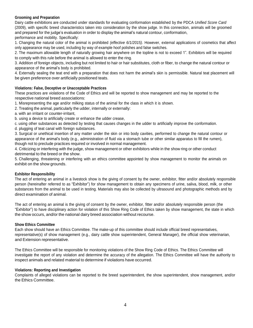## **Grooming and Preparation**

Dairy cattle exhibitions are conducted under standards for evaluating conformation established by the PDCA *Unified Score Card* (2009), with specific breed characteristics taken into consideration by the show judge. In this connection, animals will be groomed and prepared for the judge's evaluation in order to display the animal's natural contour, conformation, performance and mobility. Specifically:

1. Changing the natural color of the animal is prohibited *(effective 6/1/2015)*. However, external applications of cosmetics that affect only appearance may be used, including by way of example hoof polishes and false switches.

2. The maximum allowable length of naturally growing hair anywhere on the topline is not to exceed 1". Exhibitors will be required to comply with this rule before the animal is allowed to enter the ring.

3. Addition of foreign objects, including but not limited to hair or hair substitutes, cloth or fiber, to change the natural contour or appearance of the animal's body is prohibited.

4. Externally sealing the teat end with a preparation that does not harm the animal's skin is permissible. Natural teat placement will be given preference over artificially positioned teats.

## **Violations: False, Deceptive or Unacceptable Practices**

These practices are violations of the Code of Ethics and will be reported to show management and may be reported to the respective national breed associations:

1. Misrepresenting the age and/or milking status of the animal for the class in which it is shown.

2. Treating the animal, particularly the udder, internally or externally:

a. with an irritant or counter-irritant,

b. using a device to artificially create or enhance the udder crease,

c. using other substances as detected by testing that causes changes in the udder to artificially improve the conformation.

d. plugging of teat canal with foreign substances.

3. Surgical or unethical insertion of any matter under the skin or into body cavities, performed to change the natural contour or appearance of the animal's body (e.g., administration of fluid via a stomach tube or other similar apparatus to fill the rumen), though not to preclude practices required or involved in normal management.

4. Criticizing or interfering with the judge, show management or other exhibitors while in the show ring or other conduct detrimental to the breed or the show.

5. Challenging, threatening or interfering with an ethics committee appointed by show management to monitor the animals on exhibit on the show grounds.

## **Exhibitor Responsibility**

The act of entering an animal in a livestock show is the giving of consent by the owner, exhibitor, fitter and/or absolutely responsible person (hereinafter referred to as "Exhibitor") for show management to obtain any specimens of urine, saliva, blood, milk, or other substances from the animal to be used in testing. Materials may also be collected by ultrasound and photographic methods and by direct examination of animal.

The act of entering an animal is the giving of consent by the owner, exhibitor, fitter and/or absolutely responsible person (the "Exhibitor") to have disciplinary action for violation of this Show Ring Code of Ethics taken by show management, the state in which the show occurs, and/or the national dairy breed association without recourse.

## **Show Ethics Committee**

Each show should have an Ethics Committee. The make-up of this committee should include official breed representatives, representative(s) of show management (e.g., dairy cattle show superintendent, General Manager), the official show veterinarian, and Extension representative.

The Ethics Committee will be responsible for monitoring violations of the Show Ring Code of Ethics. The Ethics Committee will investigate the report of any violation and determine the accuracy of the allegation. The Ethics Committee will have the authority to inspect animals and related material to determine if violations have occurred.

## **Violations: Reporting and Investigation**

Complaints of alleged violations can be reported to the breed superintendent, the show superintendent, show management, and/or the Ethics Committee.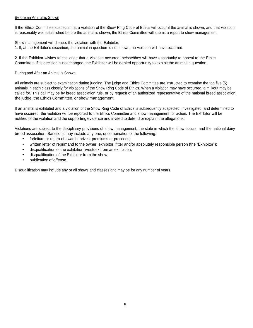## Before an Animal is Shown

If the Ethics Committee suspects that a violation of the Show Ring Code of Ethics will occur if the animal is shown, and that violation is reasonably well established before the animal is shown, the Ethics Committee will submit a report to show management.

Show management will discuss the violation with the Exhibitor:

1. If, at the Exhibitor's discretion, the animal in question is not shown, no violation will have occurred.

2. If the Exhibitor wishes to challenge that a violation occurred, he/she/they will have opportunity to appeal to the Ethics Committee. If its decision is not changed, the Exhibitor will be denied opportunity to exhibit the animal in question.

## During and After an Animal is Shown

All animals are subject to examination during judging. The judge and Ethics Committee are instructed to examine the top five (5) animals in each class closely for violations of the Show Ring Code of Ethics. When a violation may have occurred, a milkout may be called for. This call may be by breed association rule, or by request of an authorized representative of the national breed association, the judge, the Ethics Committee, or show management.

If an animal is exhibited and a violation of the Show Ring Code of Ethics is subsequently suspected, investigated, and determined to have occurred, the violation will be reported to the Ethics Committee and show management for action. The Exhibitor will be notified of the violation and the supporting evidence and invited to defend or explain the allegations.

Violations are subject to the disciplinary provisions of show management, the state in which the show occurs, and the national dairy breed association. Sanctions may include any one, or combination of the following:

- forfeiture or return of awards, prizes, premiums or proceeds;
- written letter of reprimand to the owner, exhibitor, fitter and/or absolutely responsible person (the "Exhibitor");
- disqualification of the exhibition livestock from an exhibition;
- disqualification of the Exhibitor from the show;
- publication of offense.

Disqualification may include any or all shows and classes and may be for any number of years.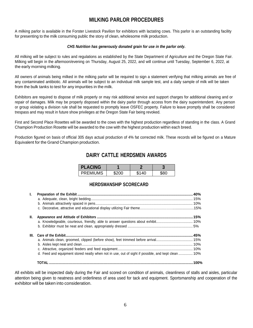# **MILKING PARLOR PROCEDURES**

A milking parlor is available in the Forster Livestock Pavilion for exhibitors with lactating cows. This parlor is an outstanding facility for presenting to the milk consuming public the story of clean, wholesome milk production.

## *CHS Nutrition has generously donated grain for use in the parlor only.*

All milking will be subject to rules and regulations as established by the State Department of Agriculture and the Oregon State Fair. Milking will begin in the afternoon/evening on Thursday, August 25, 2022, and will continue until Tuesday, September 6, 2022, at the early morning milking.

All owners of animals being milked in the milking parlor will be required to sign a statement verifying that milking animals are free of any contaminated antibiotic. All animals will be subject to an individual milk sample test, and a daily sample of milk will be taken from the bulk tanks to test for any impurities in the milk.

Exhibitors are required to dispose of milk properly or may risk additional service and support charges for additional cleaning and or repair of damages. Milk may be properly disposed within the dairy parlor through access from the dairy superintendent. Any person or group violating a division rule shall be requested to promptly leave OSFEC property. Failure to leave promptly shall be considered trespass and may result in future show privileges at the Oregon State Fair being revoked.

First and Second Place Rosettes will be awarded to the cows with the highest production regardless of standing in the class. A Grand Champion Production Rosette will be awarded to the cow with the highest production within each breed.

Production figured on basis of official 305 days actual production of 4% fat corrected milk. These records will be figured on a Mature Equivalent for the Grand Champion production.

# **DAIRY CATTLE HERDSMEN AWARDS**

| <b>PLACING</b>  |       |       |      |
|-----------------|-------|-------|------|
| <b>PREMIUMS</b> | \$200 | \$140 | \$80 |

## **HERDSMANSHIP SCORECARD**

| Ъ.   |                                                                                                    |  |
|------|----------------------------------------------------------------------------------------------------|--|
| H.   |                                                                                                    |  |
| III. | d. Feed and equipment stored neatly when not in use, out of sight if possible, and kept clean  10% |  |
|      |                                                                                                    |  |

All exhibits will be inspected daily during the Fair and scored on condition of animals, cleanliness of stalls and aisles, particular attention being given to neatness and orderliness of area used for tack and equipment. Sportsmanship and cooperation of the exhibitor will be taken into consideration.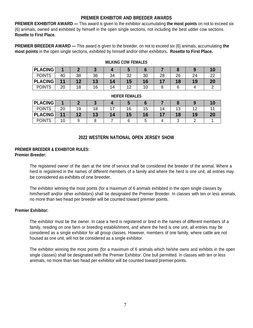## **PREMIER EXHIBITOR AND BREEDER AWARDS**

**PREMIER EXHIBITOR AWARD —** This award is given to the exhibitor accumulating **the most points** on not to exceed six (6) animals, owned and exhibited by himself in the open single sections, not including the best udder cow sections. **Rosette to First Place.**

**PREMIER BREEDER AWARD —** This award is given to the breeder, on not to exceed six (6) animals, accumulating **the most points** in the open single sections, exhibited by himself and/or other exhibitors**. Rosette to First Place.**

| <b>PLACING</b> |    |    |        |    |     |    |    |    |         | $\mathbf{0}$ |
|----------------|----|----|--------|----|-----|----|----|----|---------|--------------|
| <b>POINTS</b>  | 40 | 38 | 36     | 34 | າາ  | 30 | 28 | 26 | 24<br>▱ | ົ            |
| <b>PLACING</b> |    |    |        |    | כ ו |    |    | 8  |         | 20           |
| <b>POINTS</b>  | 20 | 18 | $\sim$ | 14 | ៱   |    |    |    |         |              |

## **MILKING COW FEMALES**

## **HEIFER FEMALES**

| <b>_ACING</b><br>Pl |    |    |    |     |     |    |     |    |    |  |
|---------------------|----|----|----|-----|-----|----|-----|----|----|--|
| <b>POINTS</b>       | 20 | 19 | 8  | . – | 16  | 15 | 14. | 13 |    |  |
| LACING<br><b>PL</b> | 11 |    | IJ | 14  | 15. |    |     |    | 19 |  |
| <b>POINTS</b>       | 10 |    |    |     |     |    |     | ີ  |    |  |

## **2022 WESTERN NATIONAL OPEN JERSEY SHOW**

### **PREMIER BREEDER & EXHIBITOR RULES: Premier Breeder:**

The registered owner of the dam at the time of service shall be considered the breeder of the animal. Where a herd is registered in the names of different members of a family and where the herd is one unit, all entries may be considered as exhibits of one breeder.

The exhibitor winning the most points (for a maximum of 6 animals exhibited in the open single classes by him/herself and/or other exhibitors) shall be designated the Premier Breeder. In classes with ten or less animals, no more than two head per breeder will be counted toward premier points.

## **Premier Exhibitor:**

The exhibitor must be the owner. In case a herd is registered or bred in the names of different members of a family, residing on one farm or breeding establishment, and where the herd is one unit, all entries may be considered as a single exhibitor for all group classes. However, members of one family, where cattle are not housed as one unit, will not be considered as a single exhibitor.

The exhibitor winning the most points (for a maximum of 6 animals which he/she owns and exhibits in the open single classes) shall be designated with the Premier Exhibitor. One bull permitted. In classes with ten or less animals, no more than two head per exhibitor will be counted toward premier points.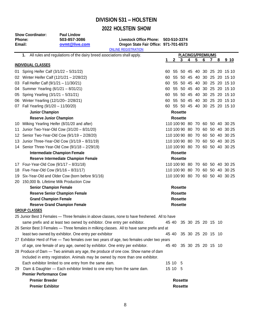# **DIVISION 531 – HOLSTEIN**

# **2022 HOLSTEIN SHOW**

|      | <b>Show Coordinator:</b><br>Phone:<br>Email: | <b>Paul Lindow</b><br>503-857-3086<br>ovmt@live.com                         | Livestock Office Phone: 503-510-3374<br>Oregon State Fair Office: 971-701-6573                 |    |                |                |   |   |                          |                |   |                                 |
|------|----------------------------------------------|-----------------------------------------------------------------------------|------------------------------------------------------------------------------------------------|----|----------------|----------------|---|---|--------------------------|----------------|---|---------------------------------|
|      |                                              |                                                                             | <b>ONLINE REGISTRATION</b>                                                                     |    |                |                |   |   | <b>PLACINGS/PREMIUMS</b> |                |   |                                 |
|      | 1.                                           | All rules and regulations of the dairy breed associations shall apply.      |                                                                                                |    | $\mathbf{2}$   | 3              | 4 | 5 | 6                        | $\overline{7}$ | 8 | 9 <sub>10</sub>                 |
|      | <b>INDIVIDUAL CLASSES</b>                    |                                                                             |                                                                                                |    |                |                |   |   |                          |                |   |                                 |
| 01 - | Spring Heifer Calf (3/1/22 - 5/31/22)        |                                                                             |                                                                                                | 60 |                |                |   |   |                          |                |   | 55 50 45 40 30 25 20 15 10      |
|      | 02 Winter Heifer Calf (12/1/21 - 2/28/22)    |                                                                             |                                                                                                | 60 |                |                |   |   |                          |                |   | 55 50 45 40 30 25 20 15 10      |
|      | 03 Fall Heifer Calf (9/1/21 - 11/30/21)      |                                                                             |                                                                                                | 60 |                |                |   |   |                          |                |   | 55 50 45 40 30 25 20 15 10      |
|      | 04 Summer Yearling (6/1/21 - 8/31/21)        |                                                                             |                                                                                                | 60 |                |                |   |   |                          |                |   | 55 50 45 40 30 25 20 15 10      |
| U5.  | Spring Yearling (3/1/21 - 5/31/21)           |                                                                             |                                                                                                | 60 |                |                |   |   | 55 50 45 40 30 25        |                |   | 20 15 10                        |
|      | 06 Winter Yearling (12/1/20-2/28/21)         |                                                                             |                                                                                                | 60 |                |                |   |   |                          |                |   | 55 50 45 40 30 25 20 15 10      |
|      | 07 Fall Yearling (9/1/20 - 11/30/20)         |                                                                             |                                                                                                |    |                |                |   |   |                          |                |   | 60 55 50 45 40 30 25 20 15 10   |
|      | <b>Junior Champion</b>                       |                                                                             |                                                                                                |    | <b>Rosette</b> |                |   |   |                          |                |   |                                 |
|      | <b>Reserve Junior Champion</b>               |                                                                             |                                                                                                |    | <b>Rosette</b> |                |   |   |                          |                |   |                                 |
| 10   |                                              | Milking Yearling Heifer (8/31/20 and after)                                 |                                                                                                |    |                |                |   |   |                          |                |   | 110 100 90 80 70 60 50 40 30 25 |
| 11   |                                              | Junior Two-Year-Old Cow (3/1/20 - 8/31/20)                                  |                                                                                                |    |                |                |   |   |                          |                |   | 110 100 90 80 70 60 50 40 30 25 |
|      |                                              | 12 Senior Two-Year-Old Cow (9/1/19 - 2/28/20)                               |                                                                                                |    |                |                |   |   |                          |                |   | 110 100 90 80 70 60 50 40 30 25 |
| 13   |                                              | Junior Three-Year-Old Cow (3/1/19 - 8/31/19)                                |                                                                                                |    |                |                |   |   |                          |                |   | 110 100 90 80 70 60 50 40 30 25 |
|      |                                              | 14 Senior Three-Year-Old Cow (9/1/18 - 2/29/19)                             |                                                                                                |    |                |                |   |   |                          |                |   | 110 100 90 80 70 60 50 40 30 25 |
|      |                                              | <b>Intermediate Champion Female</b>                                         |                                                                                                |    | <b>Rosette</b> |                |   |   |                          |                |   |                                 |
|      |                                              | Reserve Intermediate Champion Female                                        |                                                                                                |    | <b>Rosette</b> |                |   |   |                          |                |   |                                 |
| 17   | Four-Year-Old Cow (9/1/17 - 8/31/18)         |                                                                             |                                                                                                |    |                |                |   |   |                          |                |   | 110 100 90 80 70 60 50 40 30 25 |
| 18   | Five-Year-Old Cow (9/1/16 - 8/31/17)         |                                                                             |                                                                                                |    |                |                |   |   |                          |                |   | 110 100 90 80 70 60 50 40 30 25 |
| 19   |                                              | Six-Year-Old and Older Cow (born before 9/1/16)                             |                                                                                                |    |                |                |   |   |                          |                |   | 110 100 90 80 70 60 50 40 30 25 |
|      |                                              | 20 150,000 lb. Lifetime Milk Production Cow                                 |                                                                                                |    |                |                |   |   |                          |                |   |                                 |
|      | <b>Senior Champion Female</b>                |                                                                             |                                                                                                |    | <b>Rosette</b> |                |   |   |                          |                |   |                                 |
|      |                                              | <b>Reserve Senior Champion Female</b>                                       |                                                                                                |    | <b>Rosette</b> |                |   |   |                          |                |   |                                 |
|      | <b>Grand Champion Female</b>                 |                                                                             |                                                                                                |    | <b>Rosette</b> |                |   |   |                          |                |   |                                 |
|      |                                              | <b>Reserve Grand Champion Female</b>                                        |                                                                                                |    | <b>Rosette</b> |                |   |   |                          |                |   |                                 |
|      | <b>GROUP CLASSES</b>                         |                                                                             |                                                                                                |    |                |                |   |   |                          |                |   |                                 |
|      |                                              |                                                                             | 25 Junior Best 3 Females - Three females in above classes, none to have freshened. All to have |    |                |                |   |   |                          |                |   |                                 |
|      |                                              | same prefix and at least two owned by exhibitor. One entry per exhibitor.   |                                                                                                |    |                |                |   |   | 45 40 35 30 25 20 15 10  |                |   |                                 |
|      |                                              |                                                                             | 26 Senior Best 3 Females - Three females in milking classes. All to have same prefix and at    |    |                |                |   |   |                          |                |   |                                 |
|      |                                              | least two owned by exhibitor. One entry per exhibitor                       |                                                                                                |    |                |                |   |   | 45 40 35 30 25 20 15 10  |                |   |                                 |
|      |                                              |                                                                             | 27 Exhibitor Herd of Five - Two females over two years of age, two females under two years     |    |                |                |   |   |                          |                |   |                                 |
|      |                                              | of age, one female of any age, owned by exhibitor. One entry per exhibitor. |                                                                                                |    |                |                |   |   | 45 40 35 30 25 20 15 10  |                |   |                                 |
|      |                                              |                                                                             | 28 Produce of Dam - Two animals any age, the produce of one cow. Show name of dam              |    |                |                |   |   |                          |                |   |                                 |
|      |                                              |                                                                             | Included in entry registration. Animals may be owned by more than one exhibitor.               |    |                |                |   |   |                          |                |   |                                 |
|      |                                              | Each exhibitor limited to one entry from the same dam.                      |                                                                                                |    | 15 10 5        |                |   |   |                          |                |   |                                 |
| 29.  |                                              | Dam & Daughter - Each exhibitor limited to one entry from the same dam.     |                                                                                                |    | 15 10 5        |                |   |   |                          |                |   |                                 |
|      | <b>Premier Performance Cow</b>               |                                                                             |                                                                                                |    |                |                |   |   |                          |                |   |                                 |
|      | <b>Premier Breeder</b>                       |                                                                             |                                                                                                |    |                | <b>Rosette</b> |   |   |                          |                |   |                                 |
|      | <b>Premier Exhibitor</b>                     |                                                                             |                                                                                                |    |                | <b>Rosette</b> |   |   |                          |                |   |                                 |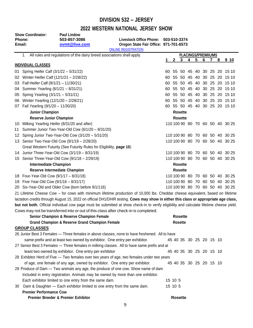# **DIVISION 532 – JERSEY**

# **2022 WESTERN NATIONAL JERSEY SHOW**

| <b>Show Coordinator:</b><br>Phone:<br>Email: |                                           | <b>Paul Lindow</b><br>503-857-3086<br>ovmt@live.com                         | <b>Livestock Office Phone:</b><br>Oregon State Fair Office: 971-701-6573                                                                 | 503-510-3374 |              |                         |                               |   |   |             |                            |                                 |
|----------------------------------------------|-------------------------------------------|-----------------------------------------------------------------------------|------------------------------------------------------------------------------------------------------------------------------------------|--------------|--------------|-------------------------|-------------------------------|---|---|-------------|----------------------------|---------------------------------|
|                                              |                                           |                                                                             | <b>ONLINE REGISTRATION</b>                                                                                                               |              |              |                         |                               |   |   |             |                            |                                 |
|                                              | 1.                                        | All rules and regulations of the dairy breed associations shall apply.      |                                                                                                                                          | 1            | $\mathbf{2}$ | 3 <sup>1</sup>          | <b>PLACINGS/PREMIUMS</b><br>4 | 5 | 6 | $7^{\circ}$ | 8                          | 9 10                            |
|                                              | <b>INDIVIDUAL CLASSES</b>                 |                                                                             |                                                                                                                                          |              |              |                         |                               |   |   |             |                            |                                 |
|                                              | 01 Spring Heifer Calf (3/1/22 - 5/31/22)  |                                                                             |                                                                                                                                          | 60           |              |                         |                               |   |   |             |                            | 55 50 45 40 30 25 20 15 10      |
|                                              | 02 Winter Heifer Calf (12/1/21 - 2/28/22) |                                                                             | 60                                                                                                                                       |              |              |                         |                               |   |   |             | 55 50 45 40 30 25 20 15 10 |                                 |
|                                              | 03 Fall Heifer Calf (9/1/21 - 11/30/21)   |                                                                             |                                                                                                                                          | 60           |              |                         |                               |   |   |             |                            | 55 50 45 40 30 25 20 15 10      |
|                                              | 04 Summer Yearling (6/1/21 - 8/31/21)     |                                                                             |                                                                                                                                          | 60           |              |                         |                               |   |   |             |                            | 55 50 45 40 30 25 20 15 10      |
|                                              | 05 Spring Yearling (3/1/21 - 5/31/21)     |                                                                             |                                                                                                                                          | 60           |              |                         |                               |   |   |             |                            | 55 50 45 40 30 25 20 15 10      |
|                                              | 06 Winter Yearling (12/1/20 - 2/28/21)    |                                                                             |                                                                                                                                          | 60           |              |                         |                               |   |   |             |                            | 55 50 45 40 30 25 20 15 10      |
|                                              | 07 Fall Yearling (9/1/20 - 11/30/20)      |                                                                             |                                                                                                                                          |              |              |                         |                               |   |   |             |                            | 60 55 50 45 40 30 25 20 15 10   |
|                                              | <b>Junior Champion</b>                    |                                                                             |                                                                                                                                          |              |              | <b>Rosette</b>          |                               |   |   |             |                            |                                 |
|                                              | <b>Reserve Junior Champion</b>            |                                                                             |                                                                                                                                          |              |              | <b>Rosette</b>          |                               |   |   |             |                            |                                 |
|                                              |                                           | 10 Milking Yearling Heifer (8/31/20 and after)                              |                                                                                                                                          |              |              |                         |                               |   |   |             |                            | 110 100 90 80 70 60 50 40 30 25 |
|                                              |                                           | 11 Summer Junior Two-Year-Old Cow (6/1/20 - 8/31/20)                        |                                                                                                                                          |              |              |                         |                               |   |   |             |                            |                                 |
|                                              |                                           | 12 Spring Junior Two-Year-Old Cow (3/1/20 - 5/31/20)                        |                                                                                                                                          |              |              |                         |                               |   |   |             |                            | 110 100 90 80 70 60 50 40 30 25 |
|                                              |                                           | 13 Senior Two-Year-Old Cow (9/1/19 - 2/28/20)                               |                                                                                                                                          |              |              |                         |                               |   |   |             |                            | 110 100 90 80 70 60 50 40 30 25 |
|                                              |                                           | Great Western Futurity (See Futurity Rules for Eligibility, page 10)        |                                                                                                                                          |              |              |                         |                               |   |   |             |                            |                                 |
|                                              |                                           | 14 Junior Three-Year-Old Cow (3/1/19 - 8/31/19)                             |                                                                                                                                          |              |              |                         |                               |   |   |             |                            | 110 100 90 80 70 60 50 40 30 25 |
|                                              |                                           | 15 Senior Three-Year-Old Cow (9/1/18 - 2/29/19)                             |                                                                                                                                          |              |              |                         |                               |   |   |             |                            | 110 100 90 80 70 60 50 40 30 25 |
|                                              | <b>Intermediate Champion</b>              |                                                                             |                                                                                                                                          |              |              | <b>Rosette</b>          |                               |   |   |             |                            |                                 |
|                                              |                                           | <b>Reserve Intermediate Champion</b>                                        |                                                                                                                                          |              |              | <b>Rosette</b>          |                               |   |   |             |                            |                                 |
|                                              | 18 Four-Year-Old Cow (9/1/17 - 8/31/18)   |                                                                             |                                                                                                                                          |              |              |                         |                               |   |   |             |                            | 110 100 90 80 70 60 50 40 30 25 |
|                                              | 19 Five-Year-Old Cow (9/1/16 - 8/31/17)   |                                                                             |                                                                                                                                          |              |              |                         |                               |   |   |             |                            | 110 100 90 80 70 60 50 40 30 25 |
|                                              |                                           | 20 Six-Year-Old and Older Cow (born before 9/1/116)                         |                                                                                                                                          |              |              |                         |                               |   |   |             |                            | 110 100 90 80 70 60 50 40 30 25 |
|                                              |                                           |                                                                             | 21 Lifetime Cheese Cow - for cows with minimum lifetime production of 10,000 lbs. Cheddar cheese equivalent, based on lifetime           |              |              |                         |                               |   |   |             |                            |                                 |
|                                              |                                           |                                                                             | lactation credits through August 15, 2022 on official DH1/DHIR testing. Cows may show in either this class or appropriate age class,     |              |              |                         |                               |   |   |             |                            |                                 |
|                                              |                                           |                                                                             | but not both. Official individual cow page must be submitted at show check-in to verify eligibility and calculate lifetime cheese yield. |              |              |                         |                               |   |   |             |                            |                                 |
|                                              |                                           |                                                                             | Cows may not be transferred into or out of this class after check-in is completed.                                                       |              |              |                         |                               |   |   |             |                            |                                 |
|                                              |                                           | <b>Senior Champion &amp; Reserve Champion Female</b>                        |                                                                                                                                          |              |              | <b>Rosette</b>          |                               |   |   |             |                            |                                 |
|                                              |                                           | <b>Grand Champion &amp; Reserve Grand Champion Female</b>                   |                                                                                                                                          |              |              | <b>Rosette</b>          |                               |   |   |             |                            |                                 |
|                                              | <b>GROUP CLASSES</b>                      |                                                                             |                                                                                                                                          |              |              |                         |                               |   |   |             |                            |                                 |
|                                              |                                           |                                                                             | 26 Junior Best 3 Females - Three females in above classes, none to have freshened. All to have                                           |              |              |                         |                               |   |   |             |                            |                                 |
|                                              |                                           | same prefix and at least two owned by exhibitor. One entry per exhibitor.   |                                                                                                                                          |              |              | 45 40 35 30 25 20 15 10 |                               |   |   |             |                            |                                 |
|                                              |                                           |                                                                             |                                                                                                                                          |              |              |                         |                               |   |   |             |                            |                                 |
|                                              |                                           | least two owned by exhibitor. One entry per exhibitor                       | 27 Senior Best 3 Females - Three females in milking classes. All to have same prefix and at                                              |              |              |                         |                               |   |   |             |                            |                                 |
|                                              |                                           |                                                                             |                                                                                                                                          |              |              | 45 40 35 30 25 20 15 10 |                               |   |   |             |                            |                                 |
|                                              |                                           |                                                                             | 28 Exhibitor Herd of Five - Two females over two years of age, two females under two years                                               |              |              |                         |                               |   |   |             |                            |                                 |
|                                              |                                           | of age, one female of any age, owned by exhibitor. One entry per exhibitor. |                                                                                                                                          |              |              | 45 40 35 30 25 20 15 10 |                               |   |   |             |                            |                                 |
|                                              |                                           |                                                                             | 29 Produce of Dam - Two animals any age, the produce of one cow. Show name of dam                                                        |              |              |                         |                               |   |   |             |                            |                                 |
|                                              |                                           |                                                                             | Included in entry registration. Animals may be owned by more than one exhibitor.                                                         |              |              |                         |                               |   |   |             |                            |                                 |
|                                              |                                           | Each exhibitor limited to one entry from the same dam.                      |                                                                                                                                          |              | 15 10 5      |                         |                               |   |   |             |                            |                                 |
| 30                                           |                                           | Dam & Daughter - Each exhibitor limited to one entry from the same dam.     |                                                                                                                                          |              | 15 10 5      |                         |                               |   |   |             |                            |                                 |
|                                              | <b>Premier Performance Cow</b>            |                                                                             |                                                                                                                                          |              |              |                         |                               |   |   |             |                            |                                 |
|                                              |                                           | Premier Breeder & Premier Exhibitor                                         |                                                                                                                                          |              |              | <b>Rosette</b>          |                               |   |   |             |                            |                                 |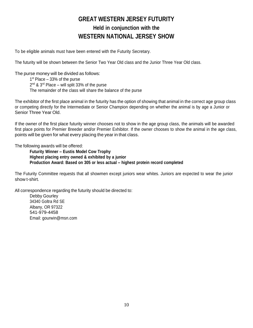# **GREAT WESTERN JERSEY FUTURITY Held in conjunction with the WESTERN NATIONAL JERSEY SHOW**

To be eligible animals must have been entered with the Futurity Secretary.

The futurity will be shown between the Senior Two Year Old class and the Junior Three Year Old class.

The purse money will be divided as follows:

1 st Place – 33% of the purse 2<sup>nd</sup> & 3<sup>rd</sup> Place – will split 33% of the purse The remainder of the class will share the balance of the purse

The exhibitor of the first place animal in the futurity has the option of showing that animal in the correct age group class or competing directly for the Intermediate or Senior Champion depending on whether the animal is by age a Junior or Senior Three Year Old.

If the owner of the first place futurity winner chooses not to show in the age group class, the animals will be awarded first place points for Premier Breeder and/or Premier Exhibitor. If the owner chooses to show the animal in the age class, points will be given for what every placing the year in that class.

The following awards will be offered:

**Futurity Winner – Eustis Model Cow Trophy Highest placing entry owned & exhibited by a junior Production Award: Based on 305 or less actual – highest protein record completed**

The Futurity Committee requests that all showmen except juniors wear whites. Juniors are expected to wear the junior show t-shirt.

All correspondence regarding the futurity should be directed to:

Debby Gourley 34340 Goltra Rd SE Albany, OR 97322 541-979-4458 Email: [gourwin@msn.com](mailto:gourwin@msn.com)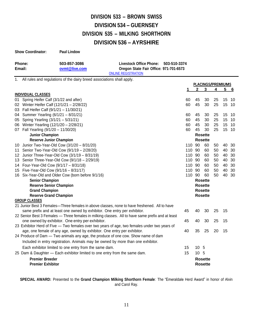# **DIVISION 533 – BROWN SWISS DIVISION 534 – GUERNSEY DIVISION 535 – MILKING SHORTHORN DIVISION 536 – AYRSHIRE**

| <b>Show Coordinator:</b> | <b>Paul Lindow</b> |                                        |  |
|--------------------------|--------------------|----------------------------------------|--|
| Phone:                   | 503-857-3086       | Livestock Office Phone: 503-510-3374   |  |
| Email:                   | ovmt@live.com      | Oregon State Fair Office: 971-701-6573 |  |
|                          |                    | <b>ONLINE REGISTRATION</b>             |  |

1. All rules and regulations of the dairy breed associations shall apply.

|    |                                                                                                   |        |              | <b>PLACINGS/PREMIUMS</b> |    |    |            |
|----|---------------------------------------------------------------------------------------------------|--------|--------------|--------------------------|----|----|------------|
|    |                                                                                                   | 1      | $\mathbf{2}$ | 3                        | 4  | 5  | <u>__6</u> |
|    | <b>INDIVIDUAL CLASSES</b>                                                                         |        |              |                          |    |    |            |
| 01 | Spring Heifer Calf (3/1/22 and after)                                                             | 60     | 45           | 30                       | 25 |    | 15 10      |
|    | 02 Winter Heifer Calf (12/1/21 - 2/28/22)                                                         | 60     | 45           | 30                       | 25 |    | 15 10      |
|    | 03 Fall Heifer Calf (9/1/21 - 11/30/21)                                                           |        |              |                          |    |    |            |
| 04 | Summer Yearling (6/1/21 - 8/31/21)                                                                | 60     | 45           | 30                       | 25 |    | 15 10      |
| 05 | Spring Yearling (3/1/21 - 5/31/21)                                                                | 60     | 45           | 30                       | 25 | 15 | 10         |
|    | 06 Winter Yearling (12/1/20 - 2/28/21)                                                            | 60     | 45           | 30                       | 25 |    | 15 10      |
|    | 07 Fall Yearling (9/1/20 - 11/30/20)                                                              | 60     | 45           | 30                       | 25 |    | 15 10      |
|    | <b>Junior Champion</b>                                                                            |        |              | <b>Rosette</b>           |    |    |            |
|    | <b>Reserve Junior Champion</b>                                                                    |        |              | <b>Rosette</b>           |    |    |            |
|    | 10 Junior Two-Year-Old Cow (3/1/20 - 8/31/20)                                                     | 110 90 |              | 60                       | 50 |    | 40 30      |
|    | 11 Senior Two-Year-Old Cow (9/1/19 - 2/28/20)                                                     | 110 90 |              | 60                       | 50 | 40 | 30         |
|    | 12 Junior Three-Year-Old Cow (3/1/19 - 8/31/19)                                                   | 110 90 |              | 60                       | 50 | 40 | 30         |
|    | 13 Senior Three-Year-Old Cow (9/1/18 - 2/29/19)                                                   | 110 90 |              | 60                       | 50 | 40 | 30         |
|    | 14 Four-Year-Old Cow (9/1/17 - 8/31/18)                                                           | 110 90 |              | 60                       | 50 | 40 | -30        |
|    | 15 Five-Year-Old Cow (9/1/16 - 8/31/17)                                                           | 110 90 |              | 60                       | 50 | 40 | 30         |
|    | 16 Six-Year-Old and Older Cow (born before 9/1/16)                                                | 110 90 |              | 60                       | 50 |    | 40 30      |
|    | <b>Senior Champion</b>                                                                            |        |              | <b>Rosette</b>           |    |    |            |
|    | <b>Reserve Senior Champion</b>                                                                    |        |              | <b>Rosette</b>           |    |    |            |
|    | <b>Grand Champion</b>                                                                             |        |              | <b>Rosette</b>           |    |    |            |
|    | <b>Reserve Grand Champion</b>                                                                     |        |              | <b>Rosette</b>           |    |    |            |
|    | <b>GROUP CLASSES</b>                                                                              |        |              |                          |    |    |            |
|    | 21 Junior Best 3 Females-Three females in above classes, none to have freshened. All to have      |        |              |                          |    |    |            |
|    | same prefix and at least one owned by exhibitor. One entry per exhibitor.                         | 45     | 40           | 30                       | 25 | 15 |            |
|    | 22 Senior Best 3 Females - Three females in milking classes. All to have same prefix and at least |        |              |                          |    |    |            |
|    | one owned by exhibitor. One entry per exhibitor.                                                  | 45     | 40           | 30                       | 25 | 15 |            |
|    | 23 Exhibitor Herd of Five - Two females over two years of age, two females under two years of     |        |              |                          |    |    |            |
|    | age, one female of any age, owned by exhibitor. One entry per exhibitor.                          | 40     | 35           | 25                       | 20 | 15 |            |
|    | 24 Produce of Dam - Two animals any age, the produce of one cow. Show name of dam                 |        |              |                          |    |    |            |
|    | Included in entry registration. Animals may be owned by more than one exhibitor.                  |        |              |                          |    |    |            |
|    | Each exhibitor limited to one entry from the same dam.                                            | 15     | 10 5         |                          |    |    |            |
|    | 25 Dam & Daughter - Each exhibitor limited to one entry from the same dam.                        | 15     | 10 5         |                          |    |    |            |
|    | <b>Premier Breeder</b>                                                                            |        |              | <b>Rosette</b>           |    |    |            |
|    | <b>Premier Exhibitor</b>                                                                          |        |              | <b>Rosette</b>           |    |    |            |
|    |                                                                                                   |        |              |                          |    |    |            |

**SPECIAL AWARD:** Presented to the **Grand Champion Milking Shorthorn Female**: The "Emeraldale Herd Award" in honor of Alvin and Carol Ray.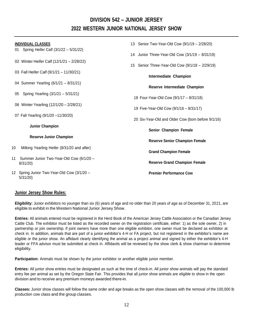# **DIVISION 542 – JUNIOR JERSEY 2022 WESTERN JUNIOR NATIONAL JERSEY SHOW**

| <b>INDIVIDUAL CLASSES</b>                                 | 13 Senior Two-Year-Old Cow (9/1/19 - 2/28/20)      |
|-----------------------------------------------------------|----------------------------------------------------|
| Spring Heifer Calf (3/1/22 - 5/31/22)<br>01               | 14 Junior Three-Year-Old Cow (3/1/19 - 8/31/19)    |
| 02 Winter Heifer Calf (12/1/21 - 2/28/22)                 | 15 Senior Three-Year-Old Cow (9/1/18 - 2/29/19)    |
| 03 Fall Heifer Calf (9/1/21 - 11/30/21)                   | <b>Intermediate Champion</b>                       |
| 04 Summer Yearling (6/1/21 - 8/31/21)                     | Reserve Intermediate Champion                      |
| Spring Yearling (3/1/21 - 5/31/21)<br>05                  | 18 Four-Year-Old Cow (9/1/17 - 8/31/18)            |
| 06 Winter Yearling (12/1/20 - 2/28/21)                    | 19 Five-Year-Old Cow (9/1/16 - 8/31/17)            |
| 07 Fall Yearling (9/1/20 -11/30/20)                       | 20 Six-Year-Old and Older Cow (born before 9/1/16) |
| <b>Junior Champion</b>                                    | Senior Champion Female                             |
| <b>Reserve Junior Champion</b>                            | <b>Reserve Senior Champion Female</b>              |
| 10<br>Milking Yearling Heifer (8/31/20 and after)         | <b>Grand Champion Female</b>                       |
| Summer Junior Two-Year-Old Cow (6/1/20 -<br>11<br>8/31/20 | <b>Reserve Grand Champion Female</b>               |
| 12 Spring Junior Two-Year-Old Cow (3/1/20 -<br>5/31/20    | <b>Premier Performance Cow</b>                     |

## **Junior Jersey Show Rules:**

**Eligibility:** Junior exhibitors no younger than six (6) years of age and no older than 20 years of age as of December 31, 2021, are eligible to exhibit in the Western National Junior Jersey Show.

**Entries:** All animals entered must be registered in the Herd Book of the American Jersey Cattle Association or the Canadian Jersey Cattle Club. The exhibitor must be listed as the recorded owner on the registration certificate, either: 1) as the sole owner, 2) in partnership or join ownership. If joint owners have more than one eligible exhibitor, one owner must be declared as exhibitor at check in. In addition, animals that are part of a junior exhibitor's 4-H or FA project, but not registered in the exhibitor's name are eligible or the junior show. An affidavit clearly identifying the animal as a project animal and signed by either the exhibitor's 4-H leader or FFA advisor must be submitted at check in. Affidavits will be reviewed by the show clerk & show chairman to determine eligibility.

**Participation:** Animals must be shown by the junior exhibitor or another eligible junior member.

**Entries:** All junior show entries must be designated as such at the time of check-in. All junior show animals will pay the standard entry fee per animal as set by the Oregon State Fair. This provides that all junior show animals are eligible to show in the open division and to receive any premium moneys awarded there-in.

**Classes:** Junior show classes will follow the same order and age breaks as the open show classes with the removal of the 100,000 lb production cow class and the group classes.